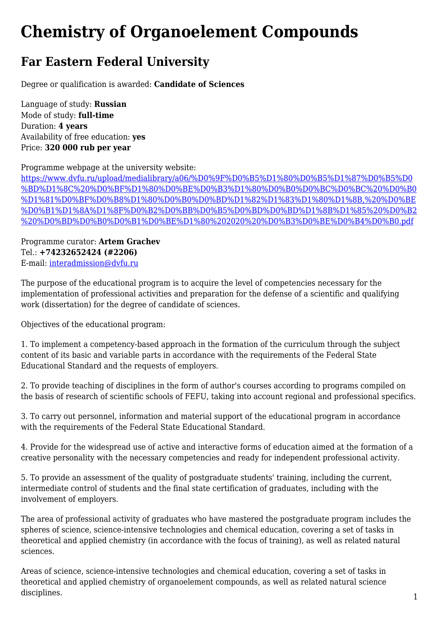## **Chemistry of Organoelement Compounds**

## **Far Eastern Federal University**

Degree or qualification is awarded: **Candidate of Sciences**

Language of study: **Russian** Mode of study: **full-time** Duration: **4 years** Availability of free education: **yes** Price: **320 000 rub per year**

Programme webpage at the university website:

[https://www.dvfu.ru/upload/medialibrary/a06/%D0%9F%D0%B5%D1%80%D0%B5%D1%87%D0%B5%D0](https://www.dvfu.ru/upload/medialibrary/a06/%D0%9F%D0%B5%D1%80%D0%B5%D1%87%D0%B5%D0%BD%D1%8C%20%D0%BF%D1%80%D0%BE%D0%B3%D1%80%D0%B0%D0%BC%D0%BC%20%D0%B0%D1%81%D0%BF%D0%B8%D1%80%D0%B0%D0%BD%D1%82%D1%83%D1%80%D1%8B,%20%D0%BE%D0%B1%D1%8A%D1%8F%D0%B2%D0%BB%D0%B5%D0%BD%D0%BD%D1%8B%D1%85%20%D0%B2%20%D0%BD%D0%B0%D0%B1%D0%BE%D1%80%202020%20%D0%B3%D0%BE%D0%B4%D0%B0.pdf) [%BD%D1%8C%20%D0%BF%D1%80%D0%BE%D0%B3%D1%80%D0%B0%D0%BC%D0%BC%20%D0%B0](https://www.dvfu.ru/upload/medialibrary/a06/%D0%9F%D0%B5%D1%80%D0%B5%D1%87%D0%B5%D0%BD%D1%8C%20%D0%BF%D1%80%D0%BE%D0%B3%D1%80%D0%B0%D0%BC%D0%BC%20%D0%B0%D1%81%D0%BF%D0%B8%D1%80%D0%B0%D0%BD%D1%82%D1%83%D1%80%D1%8B,%20%D0%BE%D0%B1%D1%8A%D1%8F%D0%B2%D0%BB%D0%B5%D0%BD%D0%BD%D1%8B%D1%85%20%D0%B2%20%D0%BD%D0%B0%D0%B1%D0%BE%D1%80%202020%20%D0%B3%D0%BE%D0%B4%D0%B0.pdf) [%D1%81%D0%BF%D0%B8%D1%80%D0%B0%D0%BD%D1%82%D1%83%D1%80%D1%8B,%20%D0%BE](https://www.dvfu.ru/upload/medialibrary/a06/%D0%9F%D0%B5%D1%80%D0%B5%D1%87%D0%B5%D0%BD%D1%8C%20%D0%BF%D1%80%D0%BE%D0%B3%D1%80%D0%B0%D0%BC%D0%BC%20%D0%B0%D1%81%D0%BF%D0%B8%D1%80%D0%B0%D0%BD%D1%82%D1%83%D1%80%D1%8B,%20%D0%BE%D0%B1%D1%8A%D1%8F%D0%B2%D0%BB%D0%B5%D0%BD%D0%BD%D1%8B%D1%85%20%D0%B2%20%D0%BD%D0%B0%D0%B1%D0%BE%D1%80%202020%20%D0%B3%D0%BE%D0%B4%D0%B0.pdf) [%D0%B1%D1%8A%D1%8F%D0%B2%D0%BB%D0%B5%D0%BD%D0%BD%D1%8B%D1%85%20%D0%B2](https://www.dvfu.ru/upload/medialibrary/a06/%D0%9F%D0%B5%D1%80%D0%B5%D1%87%D0%B5%D0%BD%D1%8C%20%D0%BF%D1%80%D0%BE%D0%B3%D1%80%D0%B0%D0%BC%D0%BC%20%D0%B0%D1%81%D0%BF%D0%B8%D1%80%D0%B0%D0%BD%D1%82%D1%83%D1%80%D1%8B,%20%D0%BE%D0%B1%D1%8A%D1%8F%D0%B2%D0%BB%D0%B5%D0%BD%D0%BD%D1%8B%D1%85%20%D0%B2%20%D0%BD%D0%B0%D0%B1%D0%BE%D1%80%202020%20%D0%B3%D0%BE%D0%B4%D0%B0.pdf) [%20%D0%BD%D0%B0%D0%B1%D0%BE%D1%80%202020%20%D0%B3%D0%BE%D0%B4%D0%B0.pdf](https://www.dvfu.ru/upload/medialibrary/a06/%D0%9F%D0%B5%D1%80%D0%B5%D1%87%D0%B5%D0%BD%D1%8C%20%D0%BF%D1%80%D0%BE%D0%B3%D1%80%D0%B0%D0%BC%D0%BC%20%D0%B0%D1%81%D0%BF%D0%B8%D1%80%D0%B0%D0%BD%D1%82%D1%83%D1%80%D1%8B,%20%D0%BE%D0%B1%D1%8A%D1%8F%D0%B2%D0%BB%D0%B5%D0%BD%D0%BD%D1%8B%D1%85%20%D0%B2%20%D0%BD%D0%B0%D0%B1%D0%BE%D1%80%202020%20%D0%B3%D0%BE%D0%B4%D0%B0.pdf)

Programme curator: **Artem Grachev** Tel.: **+74232652424 (#2206)** E-mail: [interadmission@dvfu.ru](mailto:interadmission@dvfu.ru)

The purpose of the educational program is to acquire the level of competencies necessary for the implementation of professional activities and preparation for the defense of a scientific and qualifying work (dissertation) for the degree of candidate of sciences.

Objectives of the educational program:

1. To implement a competency-based approach in the formation of the curriculum through the subject content of its basic and variable parts in accordance with the requirements of the Federal State Educational Standard and the requests of employers.

2. To provide teaching of disciplines in the form of author's courses according to programs compiled on the basis of research of scientific schools of FEFU, taking into account regional and professional specifics.

3. To carry out personnel, information and material support of the educational program in accordance with the requirements of the Federal State Educational Standard.

4. Provide for the widespread use of active and interactive forms of education aimed at the formation of a creative personality with the necessary competencies and ready for independent professional activity.

5. To provide an assessment of the quality of postgraduate students' training, including the current, intermediate control of students and the final state certification of graduates, including with the involvement of employers.

The area of professional activity of graduates who have mastered the postgraduate program includes the spheres of science, science-intensive technologies and chemical education, covering a set of tasks in theoretical and applied chemistry (in accordance with the focus of training), as well as related natural sciences.

Areas of science, science-intensive technologies and chemical education, covering a set of tasks in theoretical and applied chemistry of organoelement compounds, as well as related natural science disciplines.